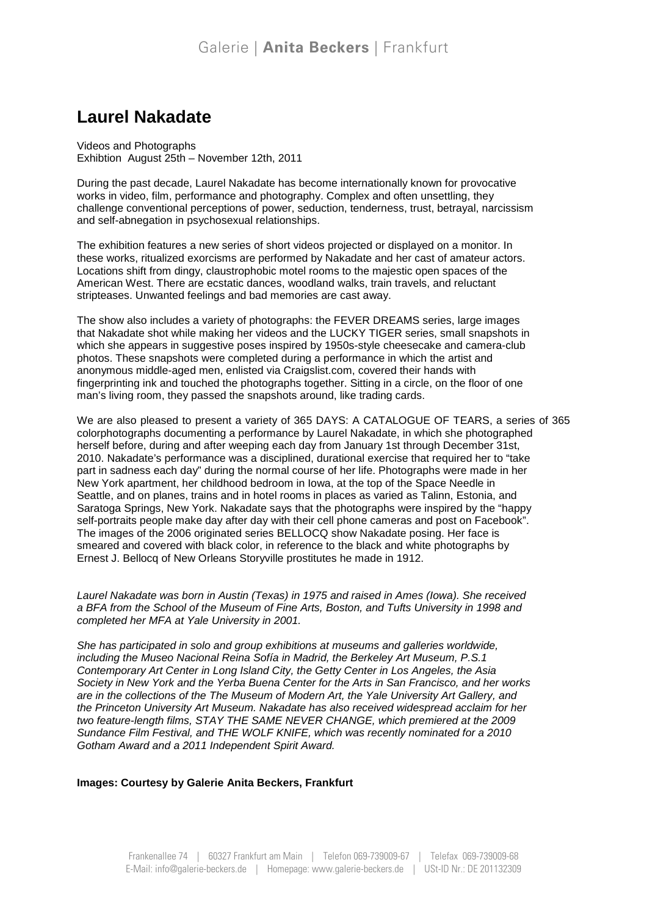## **Laurel Nakadate**

Videos and Photographs Exhibtion August 25th – November 12th, 2011

During the past decade, Laurel Nakadate has become internationally known for provocative works in video, film, performance and photography. Complex and often unsettling, they challenge conventional perceptions of power, seduction, tenderness, trust, betrayal, narcissism and self-abnegation in psychosexual relationships.

The exhibition features a new series of short videos projected or displayed on a monitor. In these works, ritualized exorcisms are performed by Nakadate and her cast of amateur actors. Locations shift from dingy, claustrophobic motel rooms to the majestic open spaces of the American West. There are ecstatic dances, woodland walks, train travels, and reluctant stripteases. Unwanted feelings and bad memories are cast away.

The show also includes a variety of photographs: the FEVER DREAMS series, large images that Nakadate shot while making her videos and the LUCKY TIGER series, small snapshots in which she appears in suggestive poses inspired by 1950s-style cheesecake and camera-club photos. These snapshots were completed during a performance in which the artist and anonymous middle-aged men, enlisted via Craigslist.com, covered their hands with fingerprinting ink and touched the photographs together. Sitting in a circle, on the floor of one man's living room, they passed the snapshots around, like trading cards.

We are also pleased to present a variety of 365 DAYS: A CATALOGUE OF TEARS, a series of 365 colorphotographs documenting a performance by Laurel Nakadate, in which she photographed herself before, during and after weeping each day from January 1st through December 31st, 2010. Nakadate's performance was a disciplined, durational exercise that required her to "take part in sadness each day" during the normal course of her life. Photographs were made in her New York apartment, her childhood bedroom in Iowa, at the top of the Space Needle in Seattle, and on planes, trains and in hotel rooms in places as varied as Talinn, Estonia, and Saratoga Springs, New York. Nakadate says that the photographs were inspired by the "happy self-portraits people make day after day with their cell phone cameras and post on Facebook". The images of the 2006 originated series BELLOCQ show Nakadate posing. Her face is smeared and covered with black color, in reference to the black and white photographs by Ernest J. Bellocq of New Orleans Storyville prostitutes he made in 1912.

Laurel Nakadate was born in Austin (Texas) in 1975 and raised in Ames (Iowa). She received a BFA from the School of the Museum of Fine Arts, Boston, and Tufts University in 1998 and completed her MFA at Yale University in 2001.

She has participated in solo and group exhibitions at museums and galleries worldwide, including the Museo Nacional Reina Sofía in Madrid, the Berkeley Art Museum, P.S.1 Contemporary Art Center in Long Island City, the Getty Center in Los Angeles, the Asia Society in New York and the Yerba Buena Center for the Arts in San Francisco, and her works are in the collections of the The Museum of Modern Art, the Yale University Art Gallery, and the Princeton University Art Museum. Nakadate has also received widespread acclaim for her two feature-length films, STAY THE SAME NEVER CHANGE, which premiered at the 2009 Sundance Film Festival, and THE WOLF KNIFE, which was recently nominated for a 2010 Gotham Award and a 2011 Independent Spirit Award.

#### **Images: Courtesy by Galerie Anita Beckers, Frankfurt**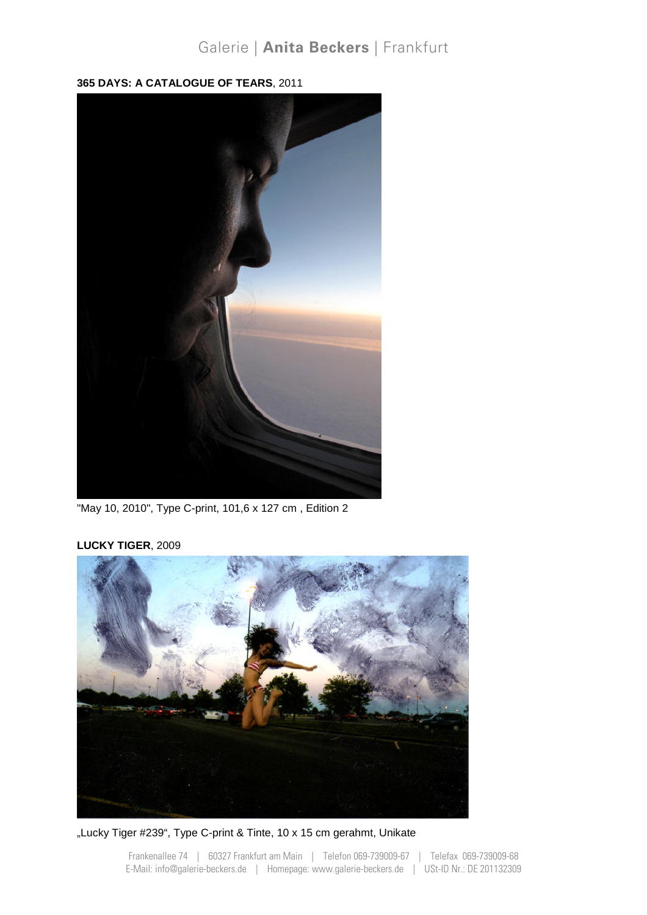## Galerie | Anita Beckers | Frankfurt

**365 DAYS: A CATALOGUE OF TEARS**, 2011



"May 10, 2010", Type C-print, 101,6 x 127 cm , Edition 2

### **LUCKY TIGER**, 2009



"Lucky Tiger #239", Type C-print & Tinte, 10 x 15 cm gerahmt, Unikate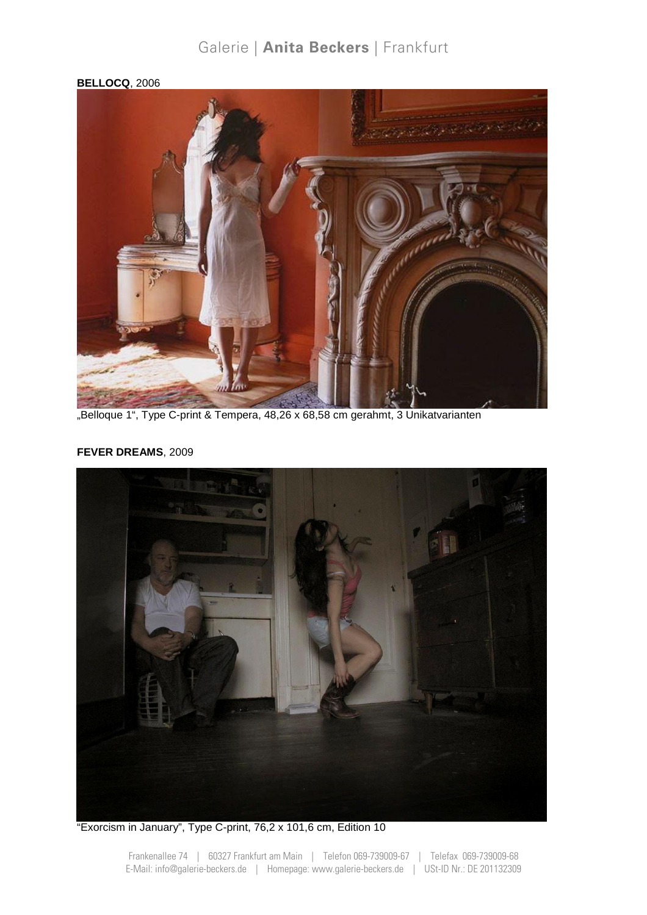## Galerie | Anita Beckers | Frankfurt

### **BELLOCQ**, 2006



"Belloque 1", Type C-print & Tempera, 48,26 x 68,58 cm gerahmt, 3 Unikatvarianten

### **FEVER DREAMS**, 2009



"Exorcism in January", Type C-print, 76,2 x 101,6 cm, Edition 10

Frankenallee 74 | 60327 Frankfurt am Main | Telefon 069-739009-67 | Telefax 069-739009-68 E-Mail: info@galerie-beckers.de | Homepage: www.galerie-beckers.de | USt-ID Nr.: DE 201132309